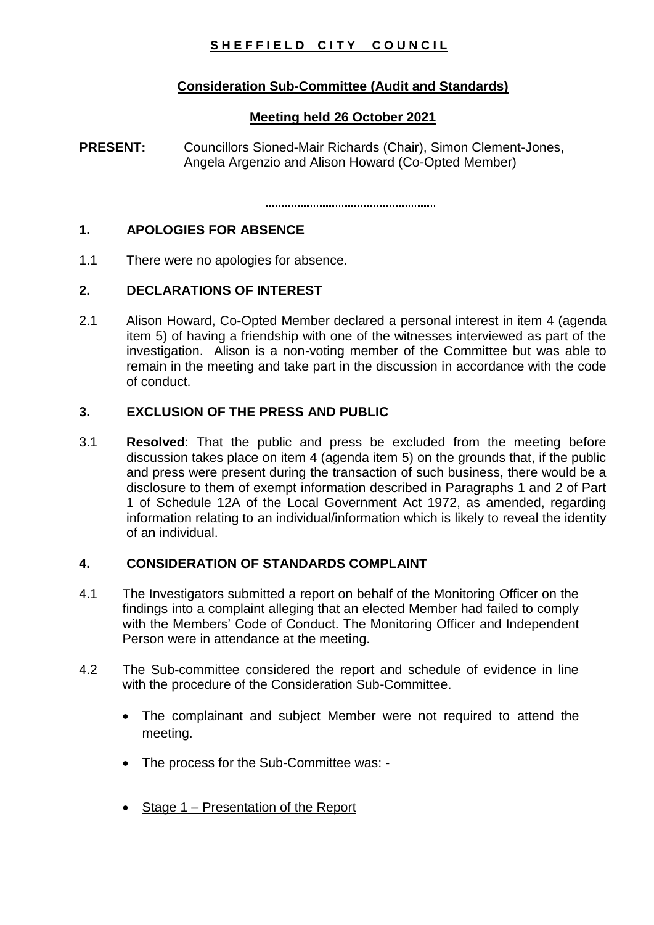# SHEFFIELD CITY COUNCIL

## **Consideration Sub-Committee (Audit and Standards)**

### **Meeting held 26 October 2021**

**PRESENT:** Councillors Sioned-Mair Richards (Chair), Simon Clement-Jones, Angela Argenzio and Alison Howard (Co-Opted Member)

#### **1. APOLOGIES FOR ABSENCE**

1.1 There were no apologies for absence.

### **2. DECLARATIONS OF INTEREST**

2.1 Alison Howard, Co-Opted Member declared a personal interest in item 4 (agenda item 5) of having a friendship with one of the witnesses interviewed as part of the investigation. Alison is a non-voting member of the Committee but was able to remain in the meeting and take part in the discussion in accordance with the code of conduct.

### **3. EXCLUSION OF THE PRESS AND PUBLIC**

3.1 **Resolved**: That the public and press be excluded from the meeting before discussion takes place on item 4 (agenda item 5) on the grounds that, if the public and press were present during the transaction of such business, there would be a disclosure to them of exempt information described in Paragraphs 1 and 2 of Part 1 of Schedule 12A of the Local Government Act 1972, as amended, regarding information relating to an individual/information which is likely to reveal the identity of an individual.

#### **4. CONSIDERATION OF STANDARDS COMPLAINT**

- 4.1 The Investigators submitted a report on behalf of the Monitoring Officer on the findings into a complaint alleging that an elected Member had failed to comply with the Members' Code of Conduct. The Monitoring Officer and Independent Person were in attendance at the meeting.
- 4.2 The Sub-committee considered the report and schedule of evidence in line with the procedure of the Consideration Sub-Committee.
	- The complainant and subject Member were not required to attend the meeting.
	- The process for the Sub-Committee was: -
	- Stage  $1$  Presentation of the Report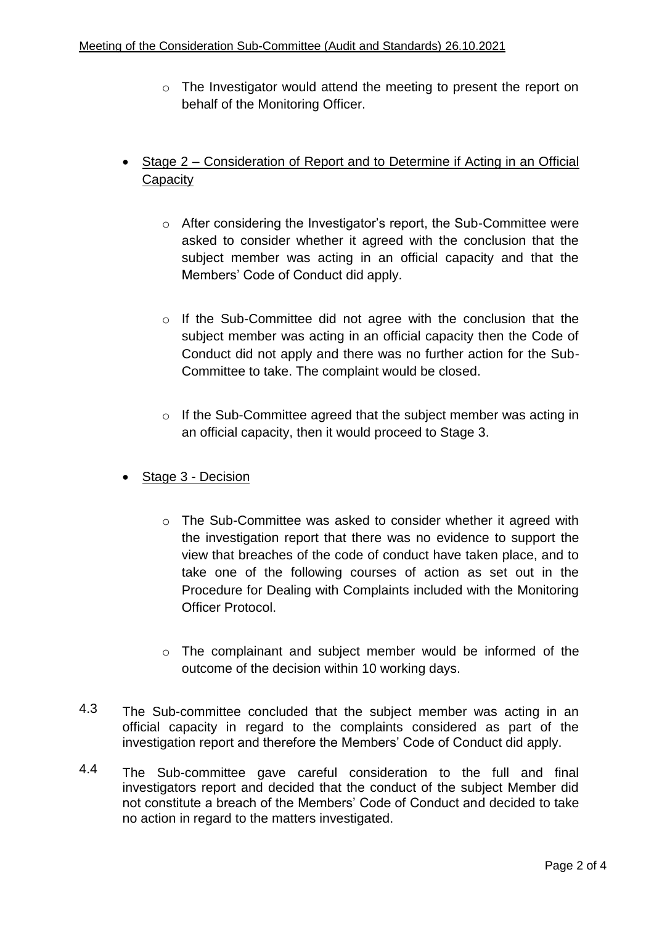- o The Investigator would attend the meeting to present the report on behalf of the Monitoring Officer.
- Stage 2 Consideration of Report and to Determine if Acting in an Official **Capacity** 
	- o After considering the Investigator's report, the Sub-Committee were asked to consider whether it agreed with the conclusion that the subject member was acting in an official capacity and that the Members' Code of Conduct did apply.
	- o If the Sub-Committee did not agree with the conclusion that the subject member was acting in an official capacity then the Code of Conduct did not apply and there was no further action for the Sub-Committee to take. The complaint would be closed.
	- o If the Sub-Committee agreed that the subject member was acting in an official capacity, then it would proceed to Stage 3.
- Stage 3 Decision
	- $\circ$  The Sub-Committee was asked to consider whether it agreed with the investigation report that there was no evidence to support the view that breaches of the code of conduct have taken place, and to take one of the following courses of action as set out in the Procedure for Dealing with Complaints included with the Monitoring Officer Protocol.
	- o The complainant and subject member would be informed of the outcome of the decision within 10 working days.
- 4.3 The Sub-committee concluded that the subject member was acting in an official capacity in regard to the complaints considered as part of the investigation report and therefore the Members' Code of Conduct did apply.
- 4.4 The Sub-committee gave careful consideration to the full and final investigators report and decided that the conduct of the subject Member did not constitute a breach of the Members' Code of Conduct and decided to take no action in regard to the matters investigated.